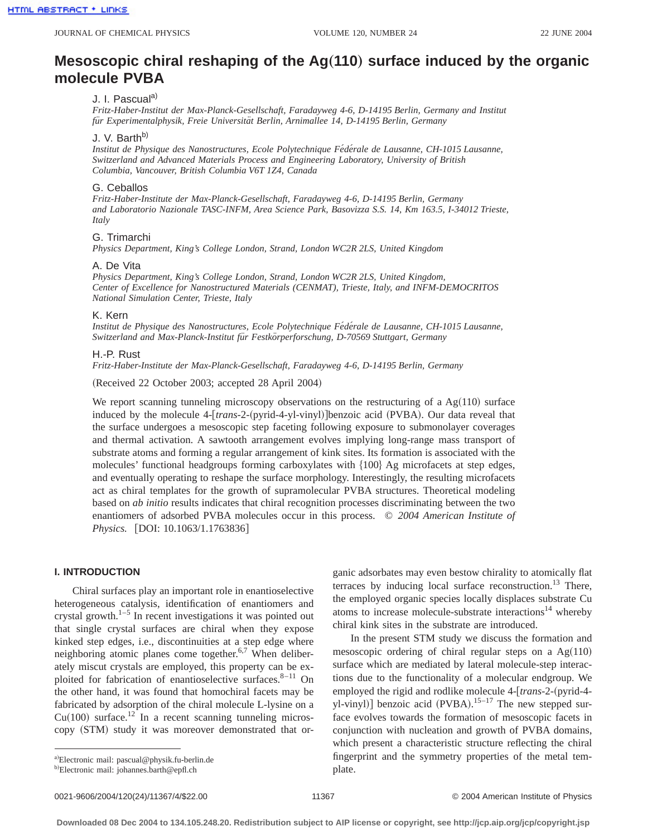# **Mesoscopic chiral reshaping of the Ag(110) surface induced by the organic molecule PVBA**

# J. I. Pascual<sup>a)</sup>

*Fritz-Haber-Institut der Max-Planck-Gesellschaft, Faradayweg 4-6, D-14195 Berlin, Germany and Institut fu¨r Experimentalphysik, Freie Universita¨t Berlin, Arnimallee 14, D-14195 Berlin, Germany*

## J. V. Barth<sup>b)</sup>

*Institut de Physique des Nanostructures, Ecole Polytechnique Fe´de´rale de Lausanne, CH-1015 Lausanne, Switzerland and Advanced Materials Process and Engineering Laboratory, University of British Columbia, Vancouver, British Columbia V6T 1Z4, Canada*

#### G. Ceballos

*Fritz-Haber-Institute der Max-Planck-Gesellschaft, Faradayweg 4-6, D-14195 Berlin, Germany and Laboratorio Nazionale TASC-INFM, Area Science Park, Basovizza S.S. 14, Km 163.5, I-34012 Trieste, Italy*

# G. Trimarchi

*Physics Department, King's College London, Strand, London WC2R 2LS, United Kingdom*

#### A. De Vita

*Physics Department, King's College London, Strand, London WC2R 2LS, United Kingdom, Center of Excellence for Nanostructured Materials (CENMAT), Trieste, Italy, and INFM-DEMOCRITOS National Simulation Center, Trieste, Italy*

#### K. Kern

Institut de Physique des Nanostructures, Ecole Polytechnique Fédérale de Lausanne, CH-1015 Lausanne, *Switzerland and Max-Planck-Institut fu¨r Festko¨rperforschung, D-70569 Stuttgart, Germany*

#### H.-P. Rust

*Fritz-Haber-Institute der Max-Planck-Gesellschaft, Faradayweg 4-6, D-14195 Berlin, Germany*

(Received 22 October 2003; accepted 28 April 2004)

We report scanning tunneling microscopy observations on the restructuring of a  $Ag(110)$  surface induced by the molecule 4-[*trans*-2-(pyrid-4-yl-vinyl)]benzoic acid (PVBA). Our data reveal that the surface undergoes a mesoscopic step faceting following exposure to submonolayer coverages and thermal activation. A sawtooth arrangement evolves implying long-range mass transport of substrate atoms and forming a regular arrangement of kink sites. Its formation is associated with the molecules' functional headgroups forming carboxylates with  $\{100\}$  Ag microfacets at step edges, and eventually operating to reshape the surface morphology. Interestingly, the resulting microfacets act as chiral templates for the growth of supramolecular PVBA structures. Theoretical modeling based on *ab initio* results indicates that chiral recognition processes discriminating between the two enantiomers of adsorbed PVBA molecules occur in this process. © *2004 American Institute of Physics.* [DOI: 10.1063/1.1763836]

## **I. INTRODUCTION**

Chiral surfaces play an important role in enantioselective heterogeneous catalysis, identification of enantiomers and crystal growth. $1-5$  In recent investigations it was pointed out that single crystal surfaces are chiral when they expose kinked step edges, i.e., discontinuities at a step edge where neighboring atomic planes come together.<sup>6,7</sup> When deliberately miscut crystals are employed, this property can be exploited for fabrication of enantioselective surfaces.<sup>8-11</sup> On the other hand, it was found that homochiral facets may be fabricated by adsorption of the chiral molecule L-lysine on a  $Cu(100)$  surface.<sup>12</sup> In a recent scanning tunneling microscopy (STM) study it was moreover demonstrated that or-

In the present STM study we discuss the formation and mesoscopic ordering of chiral regular steps on a  $Ag(110)$ surface which are mediated by lateral molecule-step interactions due to the functionality of a molecular endgroup. We employed the rigid and rodlike molecule 4-[trans-2-(pyrid-4yl-vinyl)] benzoic acid (PVBA).<sup>15–17</sup> The new stepped surface evolves towards the formation of mesoscopic facets in conjunction with nucleation and growth of PVBA domains, which present a characteristic structure reflecting the chiral fingerprint and the symmetry properties of the metal template.

ganic adsorbates may even bestow chirality to atomically flat terraces by inducing local surface reconstruction.<sup>13</sup> There, the employed organic species locally displaces substrate Cu atoms to increase molecule-substrate interactions<sup>14</sup> whereby chiral kink sites in the substrate are introduced.

a)Electronic mail: pascual@physik.fu-berlin.de

<sup>&</sup>lt;sup>b)</sup>Electronic mail: johannes.barth@epfl.ch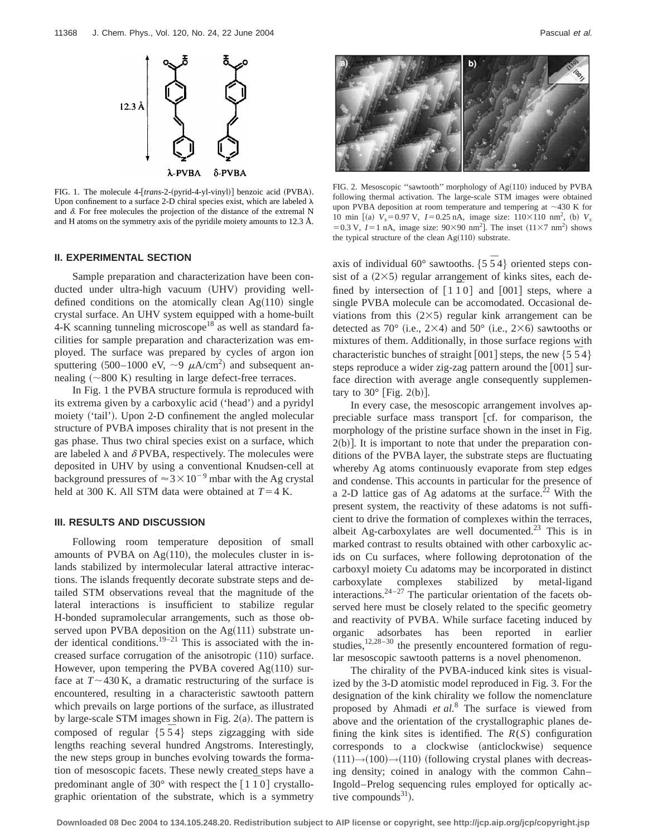

FIG. 1. The molecule 4-[trans-2-(pyrid-4-yl-vinyl)] benzoic acid (PVBA). Upon confinement to a surface 2-D chiral species exist, which are labeled  $\lambda$ and  $\delta$ . For free molecules the projection of the distance of the extremal N and H atoms on the symmetry axis of the pyridile moiety amounts to 12.3 Å.

#### **II. EXPERIMENTAL SECTION**

Sample preparation and characterization have been conducted under ultra-high vacuum (UHV) providing welldefined conditions on the atomically clean  $Ag(110)$  single crystal surface. An UHV system equipped with a home-built 4-K scanning tunneling microscope<sup>18</sup> as well as standard facilities for sample preparation and characterization was employed. The surface was prepared by cycles of argon ion sputtering (500–1000 eV,  $\sim$ 9  $\mu$ A/cm<sup>2</sup>) and subsequent annealing  $({\sim}800 \text{ K})$  resulting in large defect-free terraces.

In Fig. 1 the PVBA structure formula is reproduced with its extrema given by a carboxylic acid ('head') and a pyridyl moiety ('tail'). Upon 2-D confinement the angled molecular structure of PVBA imposes chirality that is not present in the gas phase. Thus two chiral species exist on a surface, which are labeled  $\lambda$  and  $\delta$  PVBA, respectively. The molecules were deposited in UHV by using a conventional Knudsen-cell at background pressures of  $\approx 3 \times 10^{-9}$  mbar with the Ag crystal held at 300 K. All STM data were obtained at  $T=4$  K.

## **III. RESULTS AND DISCUSSION**

Following room temperature deposition of small amounts of PVBA on  $Ag(110)$ , the molecules cluster in islands stabilized by intermolecular lateral attractive interactions. The islands frequently decorate substrate steps and detailed STM observations reveal that the magnitude of the lateral interactions is insufficient to stabilize regular H-bonded supramolecular arrangements, such as those observed upon PVBA deposition on the  $Ag(111)$  substrate under identical conditions.<sup>19–21</sup> This is associated with the increased surface corrugation of the anisotropic  $(110)$  surface. However, upon tempering the PVBA covered  $Ag(110)$  surface at  $T \sim 430$  K, a dramatic restructuring of the surface is encountered, resulting in a characteristic sawtooth pattern which prevails on large portions of the surface, as illustrated by large-scale STM images shown in Fig.  $2(a)$ . The pattern is composed of regular  $\{5\ 5\ 4\}$  steps zigzagging with side lengths reaching several hundred Angstroms. Interestingly, the new steps group in bunches evolving towards the formation of mesoscopic facets. These newly created steps have a predominant angle of 30 $^{\circ}$  with respect the  $\left[1\,1\,0\right]$  crystallographic orientation of the substrate, which is a symmetry



FIG. 2. Mesoscopic "sawtooth" morphology of  $Ag(110)$  induced by PVBA following thermal activation. The large-scale STM images were obtained upon PVBA deposition at room temperature and tempering at  $\sim$  430 K for 10 min [(a)  $V_s = 0.97 \text{ V}$ ,  $I = 0.25 \text{ nA}$ , image size:  $110 \times 110 \text{ nm}^2$ , (b)  $V_s$ = 0.3 V,  $I = 1$  nA, image size:  $90 \times 90$  nm<sup>2</sup>]. The inset  $(11 \times 7 \text{ nm}^2)$  shows the typical structure of the clean  $Ag(110)$  substrate.

axis of individual  $60^{\circ}$  sawtooths.  $\{5, 5, 4\}$  oriented steps consist of a  $(2\times5)$  regular arrangement of kinks sites, each defined by intersection of  $\lceil 1\overline{1}0 \rceil$  and  $\lceil 001 \rceil$  steps, where a single PVBA molecule can be accomodated. Occasional deviations from this  $(2\times5)$  regular kink arrangement can be detected as 70 $^{\circ}$  (i.e., 2×4) and 50 $^{\circ}$  (i.e., 2×6) sawtooths or mixtures of them. Additionally, in those surface regions with characteristic bunches of straight  $[001]$  steps, the new  $\{5\bar{5}4\}$ steps reproduce a wider zig-zag pattern around the  $[001]$  surface direction with average angle consequently supplementary to  $30^\circ$  [Fig. 2(b)].

In every case, the mesoscopic arrangement involves appreciable surface mass transport [cf. for comparison, the morphology of the pristine surface shown in the inset in Fig.  $2(b)$ ]. It is important to note that under the preparation conditions of the PVBA layer, the substrate steps are fluctuating whereby Ag atoms continuously evaporate from step edges and condense. This accounts in particular for the presence of a 2-D lattice gas of Ag adatoms at the surface.<sup>22</sup> With the present system, the reactivity of these adatoms is not sufficient to drive the formation of complexes within the terraces, albeit Ag-carboxylates are well documented.<sup>23</sup> This is in marked contrast to results obtained with other carboxylic acids on Cu surfaces, where following deprotonation of the carboxyl moiety Cu adatoms may be incorporated in distinct carboxylate complexes stabilized by metal-ligand interactions. $24-27$  The particular orientation of the facets observed here must be closely related to the specific geometry and reactivity of PVBA. While surface faceting induced by organic adsorbates has been reported in earlier studies,<sup>12,28-30</sup> the presently encountered formation of regular mesoscopic sawtooth patterns is a novel phenomenon.

The chirality of the PVBA-induced kink sites is visualized by the 3-D atomistic model reproduced in Fig. 3. For the designation of the kink chirality we follow the nomenclature proposed by Ahmadi *et al.*<sup>8</sup> The surface is viewed from above and the orientation of the crystallographic planes defining the kink sites is identified. The  $R(S)$  configuration corresponds to a clockwise (anticlockwise) sequence  $(111) \rightarrow (100) \rightarrow (110)$  (following crystal planes with decreasing density; coined in analogy with the common Cahn– Ingold–Prelog sequencing rules employed for optically active compounds $31$ ).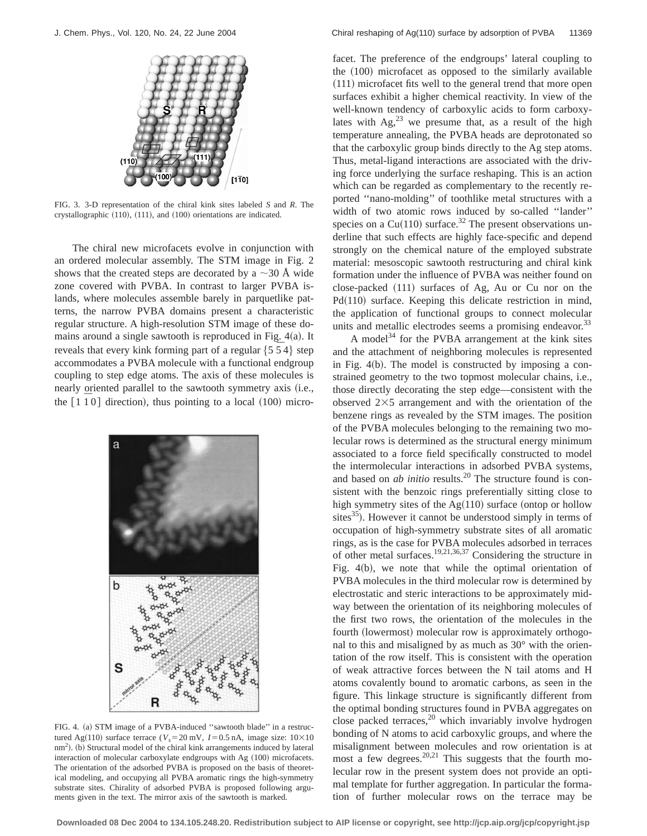

FIG. 3. 3-D representation of the chiral kink sites labeled *S* and *R*. The crystallographic  $(110)$ ,  $(111)$ , and  $(100)$  orientations are indicated.

The chiral new microfacets evolve in conjunction with an ordered molecular assembly. The STM image in Fig. 2 shows that the created steps are decorated by a  $\sim$ 30 Å wide zone covered with PVBA. In contrast to larger PVBA islands, where molecules assemble barely in parquetlike patterns, the narrow PVBA domains present a characteristic regular structure. A high-resolution STM image of these domains around a single sawtooth is reproduced in Fig.  $4(a)$ . It reveals that every kink forming part of a regular  $\{5\ 5\ 4\}$  step accommodates a PVBA molecule with a functional endgroup coupling to step edge atoms. The axis of these molecules is nearly oriented parallel to the sawtooth symmetry axis (i.e., the  $\lceil 1\ 1\ 0 \rceil$  direction), thus pointing to a local  $(100)$  micro-



FIG. 4. (a) STM image of a PVBA-induced "sawtooth blade" in a restructured Ag(110) surface terrace ( $V_s$ =20 mV, *I*=0.5 nA, image size:  $10\times10$ nm<sup>2</sup>). (b) Structural model of the chiral kink arrangements induced by lateral interaction of molecular carboxylate endgroups with Ag  $(100)$  microfacets. The orientation of the adsorbed PVBA is proposed on the basis of theoretical modeling, and occupying all PVBA aromatic rings the high-symmetry substrate sites. Chirality of adsorbed PVBA is proposed following arguments given in the text. The mirror axis of the sawtooth is marked.

facet. The preference of the endgroups' lateral coupling to the  $(100)$  microfacet as opposed to the similarly available  $(111)$  microfacet fits well to the general trend that more open surfaces exhibit a higher chemical reactivity. In view of the well-known tendency of carboxylic acids to form carboxylates with  $Ag<sub>1</sub><sup>23</sup>$  we presume that, as a result of the high temperature annealing, the PVBA heads are deprotonated so that the carboxylic group binds directly to the Ag step atoms. Thus, metal-ligand interactions are associated with the driving force underlying the surface reshaping. This is an action which can be regarded as complementary to the recently reported ''nano-molding'' of toothlike metal structures with a width of two atomic rows induced by so-called ''lander'' species on a Cu(110) surface.<sup>32</sup> The present observations underline that such effects are highly face-specific and depend strongly on the chemical nature of the employed substrate material: mesoscopic sawtooth restructuring and chiral kink formation under the influence of PVBA was neither found on close-packed  $(111)$  surfaces of Ag, Au or Cu nor on the  $Pd(110)$  surface. Keeping this delicate restriction in mind, the application of functional groups to connect molecular units and metallic electrodes seems a promising endeavor.<sup>33</sup>

A model<sup>34</sup> for the PVBA arrangement at the kink sites and the attachment of neighboring molecules is represented in Fig.  $4(b)$ . The model is constructed by imposing a constrained geometry to the two topmost molecular chains, i.e., those directly decorating the step edge—consistent with the observed  $2\times5$  arrangement and with the orientation of the benzene rings as revealed by the STM images. The position of the PVBA molecules belonging to the remaining two molecular rows is determined as the structural energy minimum associated to a force field specifically constructed to model the intermolecular interactions in adsorbed PVBA systems, and based on *ab initio* results.<sup>20</sup> The structure found is consistent with the benzoic rings preferentially sitting close to high symmetry sites of the  $Ag(110)$  surface (ontop or hollow sites $^{35}$ ). However it cannot be understood simply in terms of occupation of high-symmetry substrate sites of all aromatic rings, as is the case for PVBA molecules adsorbed in terraces of other metal surfaces.19,21,36,37 Considering the structure in Fig.  $4(b)$ , we note that while the optimal orientation of PVBA molecules in the third molecular row is determined by electrostatic and steric interactions to be approximately midway between the orientation of its neighboring molecules of the first two rows, the orientation of the molecules in the fourth (lowermost) molecular row is approximately orthogonal to this and misaligned by as much as 30° with the orientation of the row itself. This is consistent with the operation of weak attractive forces between the N tail atoms and H atoms covalently bound to aromatic carbons, as seen in the figure. This linkage structure is significantly different from the optimal bonding structures found in PVBA aggregates on close packed terraces,<sup>20</sup> which invariably involve hydrogen bonding of N atoms to acid carboxylic groups, and where the misalignment between molecules and row orientation is at most a few degrees. $20,21$  This suggests that the fourth molecular row in the present system does not provide an optimal template for further aggregation. In particular the formation of further molecular rows on the terrace may be